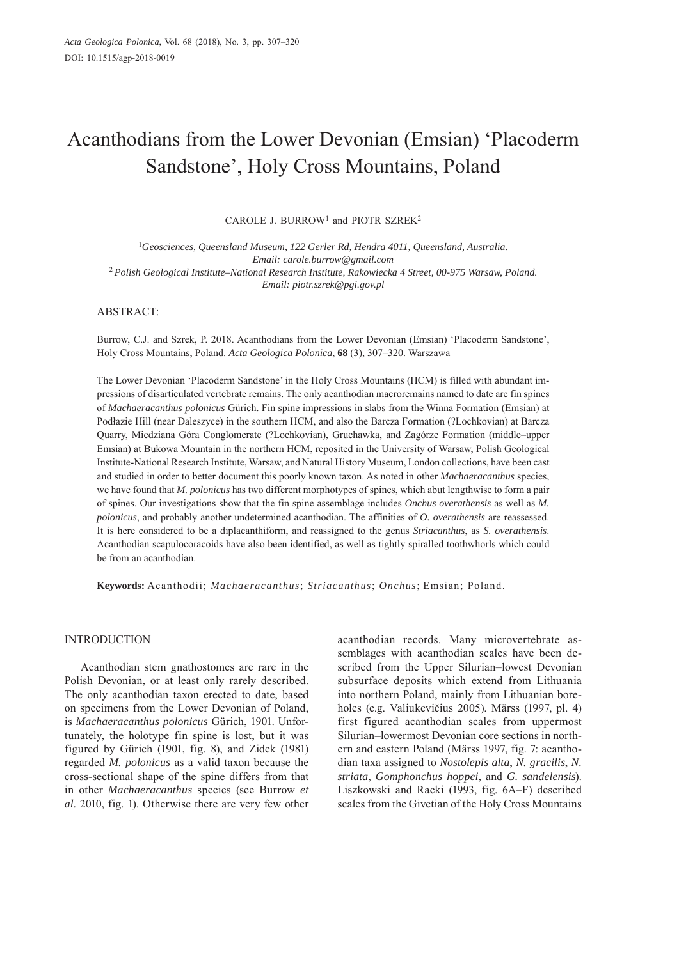# Acanthodians from the Lower Devonian (Emsian) 'Placoderm Sandstone', Holy Cross Mountains, Poland

CAROLE J. BURROW<sup>1</sup> and PIOTR SZREK<sup>2</sup>

<sup>1</sup>*Geosciences, Queensland Museum, 122 Gerler Rd, Hendra 4011, Queensland, Australia. Email: carole.burrow@gmail.com* <sup>2</sup>*Polish Geological Institute–National Research Institute, Rakowiecka 4 Street, 00-975 Warsaw, Poland. Email: piotr.szrek@pgi.gov.pl*

# ABSTRACT:

Burrow, C.J. and Szrek, P. 2018. Acanthodians from the Lower Devonian (Emsian) 'Placoderm Sandstone', Holy Cross Mountains, Poland. *Acta Geologica Polonica*, **68** (3), 307–320. Warszawa

The Lower Devonian 'Placoderm Sandstone' in the Holy Cross Mountains (HCM) is filled with abundant impressions of disarticulated vertebrate remains. The only acanthodian macroremains named to date are fin spines of *Machaeracanthus polonicus* Gürich. Fin spine impressions in slabs from the Winna Formation (Emsian) at Podłazie Hill (near Daleszyce) in the southern HCM, and also the Barcza Formation (?Lochkovian) at Barcza Quarry, Miedziana Góra Conglomerate (?Lochkovian), Gruchawka, and Zagórze Formation (middle–upper Emsian) at Bukowa Mountain in the northern HCM, reposited in the University of Warsaw, Polish Geological Institute-National Research Institute, Warsaw, and Natural History Museum, London collections, have been cast and studied in order to better document this poorly known taxon. As noted in other *Machaeracanthus* species, we have found that *M. polonicus* has two different morphotypes of spines, which abut lengthwise to form a pair of spines. Our investigations show that the fin spine assemblage includes *Onchus overathensis* as well as *M. polonicus*, and probably another undetermined acanthodian. The affinities of *O. overathensis* are reassessed. It is here considered to be a diplacanthiform, and reassigned to the genus *Striacanthus*, as *S. overathensis*. Acanthodian scapulocoracoids have also been identified, as well as tightly spiralled toothwhorls which could be from an acanthodian.

**Keywords:** Acanthodii; *Machaeracanthus*; *Striacanthus*; *Onchus*; Emsian; Poland.

## INTRODUCTION

Acanthodian stem gnathostomes are rare in the Polish Devonian, or at least only rarely described. The only acanthodian taxon erected to date, based on specimens from the Lower Devonian of Poland, is *Machaeracanthus polonicus* Gürich, 1901. Unfortunately, the holotype fin spine is lost, but it was figured by Gürich (1901, fig. 8), and Zidek (1981) regarded *M. polonicus* as a valid taxon because the cross-sectional shape of the spine differs from that in other *Machaeracanthus* species (see Burrow *et al*. 2010, fig. 1). Otherwise there are very few other acanthodian records. Many microvertebrate assemblages with acanthodian scales have been described from the Upper Silurian–lowest Devonian subsurface deposits which extend from Lithuania into northern Poland, mainly from Lithuanian boreholes (e.g. Valiukevičius 2005). Märss (1997, pl. 4) first figured acanthodian scales from uppermost Silurian–lowermost Devonian core sections in northern and eastern Poland (Märss 1997, fig. 7: acanthodian taxa assigned to *Nostolepis alta*, *N. gracilis*, *N. striata*, *Gomphonchus hoppei*, and *G. sandelensis*). Liszkowski and Racki (1993, fig. 6A–F) described scales from the Givetian of the Holy Cross Mountains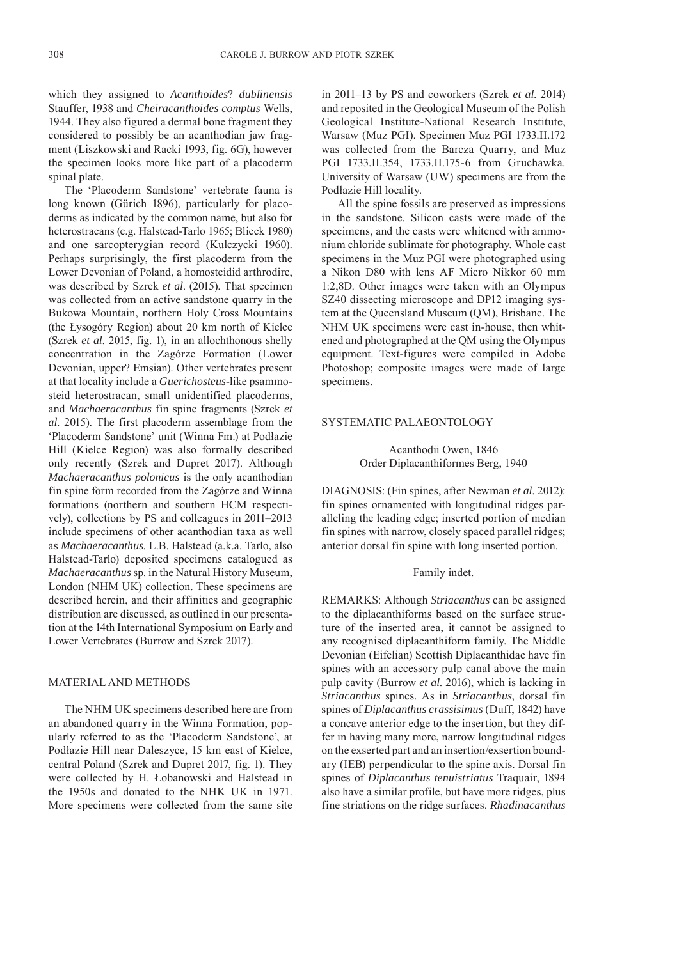which they assigned to *Acanthoides*? *dublinensis*  Stauffer, 1938 and *Cheiracanthoides comptus* Wells, 1944. They also figured a dermal bone fragment they considered to possibly be an acanthodian jaw fragment (Liszkowski and Racki 1993, fig. 6G), however the specimen looks more like part of a placoderm spinal plate.

The 'Placoderm Sandstone' vertebrate fauna is long known (Gürich 1896), particularly for placoderms as indicated by the common name, but also for heterostracans (e.g. Halstead-Tarlo 1965; Blieck 1980) and one sarcopterygian record (Kulczycki 1960). Perhaps surprisingly, the first placoderm from the Lower Devonian of Poland, a homosteidid arthrodire, was described by Szrek *et al*. (2015). That specimen was collected from an active sandstone quarry in the Bukowa Mountain, northern Holy Cross Mountains (the Łysogóry Region) about 20 km north of Kielce (Szrek *et al*. 2015, fig. 1), in an allochthonous shelly concentration in the Zagórze Formation (Lower Devonian, upper? Emsian). Other vertebrates present at that locality include a *Guerichosteus*-like psammosteid heterostracan, small unidentified placoderms, and *Machaeracanthus* fin spine fragments (Szrek *et al*. 2015). The first placoderm assemblage from the 'Placoderm Sandstone' unit (Winna Fm.) at Podłazie Hill (Kielce Region) was also formally described only recently (Szrek and Dupret 2017). Although *Machaeracanthus polonicus* is the only acanthodian fin spine form recorded from the Zagórze and Winna formations (northern and southern HCM respectively), collections by PS and colleagues in 2011–2013 include specimens of other acanthodian taxa as well as *Machaeracanthus*. L.B. Halstead (a.k.a. Tarlo, also Halstead-Tarlo) deposited specimens catalogued as *Machaeracanthus* sp. in the Natural History Museum, London (NHM UK) collection. These specimens are described herein, and their affinities and geographic distribution are discussed, as outlined in our presentation at the 14th International Symposium on Early and Lower Vertebrates (Burrow and Szrek 2017).

## MATERIAL AND METHODS

The NHM UK specimens described here are from an abandoned quarry in the Winna Formation, popularly referred to as the 'Placoderm Sandstone', at Podłazie Hill near Daleszyce, 15 km east of Kielce, central Poland (Szrek and Dupret 2017, fig. 1). They were collected by H. Łobanowski and Halstead in the 1950s and donated to the NHK UK in 1971. More specimens were collected from the same site in 2011–13 by PS and coworkers (Szrek *et al*. 2014) and reposited in the Geological Museum of the Polish Geological Institute-National Research Institute, Warsaw (Muz PGI). Specimen Muz PGI 1733.II.172 was collected from the Barcza Quarry, and Muz PGI 1733.II.354, 1733.II.175-6 from Gruchawka. University of Warsaw (UW) specimens are from the Podłazie Hill locality.

All the spine fossils are preserved as impressions in the sandstone. Silicon casts were made of the specimens, and the casts were whitened with ammonium chloride sublimate for photography. Whole cast specimens in the Muz PGI were photographed using a Nikon D80 with lens AF Micro Nikkor 60 mm 1:2,8D. Other images were taken with an Olympus SZ40 dissecting microscope and DP12 imaging system at the Queensland Museum (QM), Brisbane. The NHM UK specimens were cast in-house, then whitened and photographed at the QM using the Olympus equipment. Text-figures were compiled in Adobe Photoshop; composite images were made of large specimens.

#### SYSTEMATIC PALAEONTOLOGY

## Acanthodii Owen, 1846 Order Diplacanthiformes Berg, 1940

DIAGNOSIS: (Fin spines, after Newman *et al*. 2012): fin spines ornamented with longitudinal ridges paralleling the leading edge; inserted portion of median fin spines with narrow, closely spaced parallel ridges; anterior dorsal fin spine with long inserted portion.

#### Family indet.

REMARKS: Although *Striacanthus* can be assigned to the diplacanthiforms based on the surface structure of the inserted area, it cannot be assigned to any recognised diplacanthiform family. The Middle Devonian (Eifelian) Scottish Diplacanthidae have fin spines with an accessory pulp canal above the main pulp cavity (Burrow *et al*. 2016), which is lacking in *Striacanthus* spines. As in *Striacanthus*, dorsal fin spines of *Diplacanthus crassisimus* (Duff, 1842) have a concave anterior edge to the insertion, but they differ in having many more, narrow longitudinal ridges on the exserted part and an insertion/exsertion boundary (IEB) perpendicular to the spine axis. Dorsal fin spines of *Diplacanthus tenuistriatus* Traquair, 1894 also have a similar profile, but have more ridges, plus fine striations on the ridge surfaces. *Rhadinacanthus*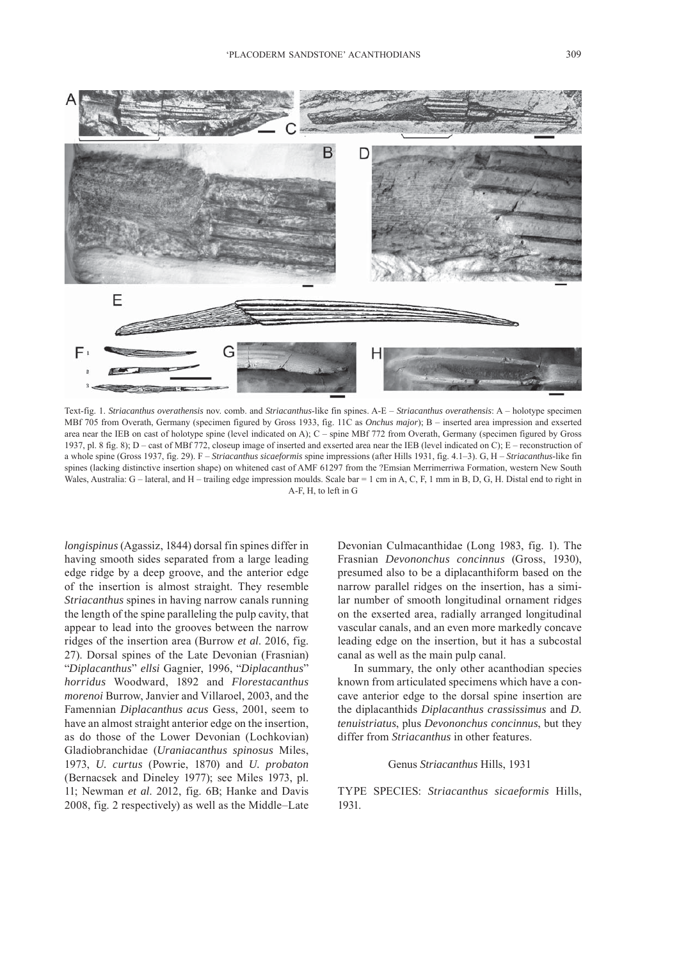

Text-fig. 1. *Striacanthus overathensis* nov. comb. and *Striacanthus*-like fin spines. A-E – *Striacanthus overathensis*: A – holotype specimen MBf 705 from Overath, Germany (specimen figured by Gross 1933, fig. 11C as *Onchus major*); B – inserted area impression and exserted area near the IEB on cast of holotype spine (level indicated on A); C – spine MBf 772 from Overath, Germany (specimen figured by Gross 1937, pl. 8 fig. 8); D – cast of MBf 772, closeup image of inserted and exserted area near the IEB (level indicated on C); E – reconstruction of a whole spine (Gross 1937, fig. 29). F – *Striacanthus sicaeformis* spine impressions (after Hills 1931, fig. 4.1–3). G, H – *Striacanthus*-like fin spines (lacking distinctive insertion shape) on whitened cast of AMF 61297 from the ?Emsian Merrimerriwa Formation, western New South Wales, Australia:  $G$  – lateral, and  $H$  – trailing edge impression moulds. Scale bar = 1 cm in A, C, F, 1 mm in B, D, G, H. Distal end to right in A-F, H, to left in G

*longispinus* (Agassiz, 1844) dorsal fin spines differ in having smooth sides separated from a large leading edge ridge by a deep groove, and the anterior edge of the insertion is almost straight. They resemble *Striacanthus* spines in having narrow canals running the length of the spine paralleling the pulp cavity, that appear to lead into the grooves between the narrow ridges of the insertion area (Burrow *et al*. 2016, fig. 27). Dorsal spines of the Late Devonian (Frasnian) "*Diplacanthus*" *ellsi* Gagnier, 1996, "*Diplacanthus*" *horridus* Woodward, 1892 and *Florestacanthus morenoi* Burrow, Janvier and Villaroel, 2003, and the Famennian *Diplacanthus acus* Gess, 2001, seem to have an almost straight anterior edge on the insertion, as do those of the Lower Devonian (Lochkovian) Gladiobranchidae (*Uraniacanthus spinosus* Miles, 1973, *U. curtus* (Powrie, 1870) and *U. probaton*  (Bernacsek and Dineley 1977); see Miles 1973, pl. 11; Newman *et al*. 2012, fig. 6B; Hanke and Davis 2008, fig. 2 respectively) as well as the Middle–Late Devonian Culmacanthidae (Long 1983, fig. 1). The Frasnian *Devononchus concinnus* (Gross, 1930), presumed also to be a diplacanthiform based on the narrow parallel ridges on the insertion, has a similar number of smooth longitudinal ornament ridges on the exserted area, radially arranged longitudinal vascular canals, and an even more markedly concave leading edge on the insertion, but it has a subcostal canal as well as the main pulp canal.

In summary, the only other acanthodian species known from articulated specimens which have a concave anterior edge to the dorsal spine insertion are the diplacanthids *Diplacanthus crassissimus* and *D. tenuistriatus*, plus *Devononchus concinnus*, but they differ from *Striacanthus* in other features.

## Genus *Striacanthus* Hills, 1931

TYPE SPECIES: *Striacanthus sicaeformis* Hills, 1931.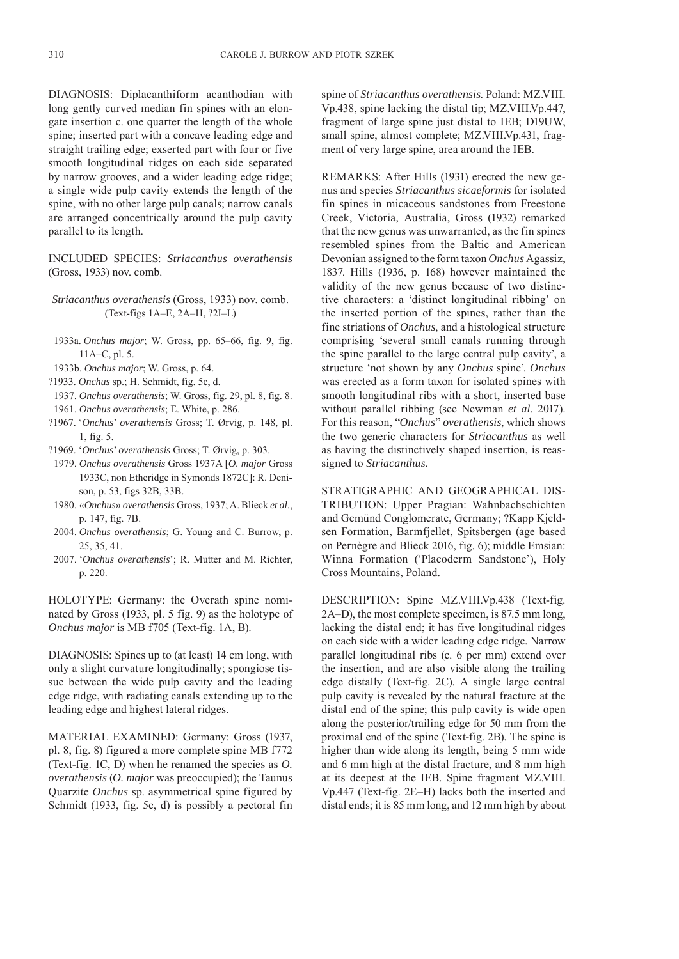DIAGNOSIS: Diplacanthiform acanthodian with long gently curved median fin spines with an elongate insertion c. one quarter the length of the whole spine; inserted part with a concave leading edge and straight trailing edge; exserted part with four or five smooth longitudinal ridges on each side separated by narrow grooves, and a wider leading edge ridge; a single wide pulp cavity extends the length of the spine, with no other large pulp canals; narrow canals are arranged concentrically around the pulp cavity parallel to its length.

INCLUDED SPECIES: *Striacanthus overathensis* (Gross, 1933) nov. comb.

- *Striacanthus overathensis* (Gross, 1933) nov. comb. (Text-figs 1A–E, 2A–H, ?2I–L)
- 1933a. *Onchus major*; W. Gross, pp. 65–66, fig. 9, fig. 11A–C, pl. 5.
- 1933b. *Onchus major*; W. Gross, p. 64.
- ?1933. *Onchus* sp.; H. Schmidt, fig. 5c, d.
- 1937. *Onchus overathensis*; W. Gross, fig. 29, pl. 8, fig. 8. 1961. *Onchus overathensis*; E. White, p. 286.
- 
- ?1967. '*Onchus*' *overathensis* Gross; T. Ørvig, p. 148, pl. 1, fig. 5.
- ?1969. '*Onchus*' *overathensis* Gross; T. Ørvig, p. 303.
- 1979. *Onchus overathensis* Gross 1937A [*O. major* Gross 1933C, non Etheridge in Symonds 1872C]: R. Denison, p. 53, figs 32B, 33B.
- 1980. «*Onchus*» *overathensis* Gross, 1937; A. Blieck *et al*., p. 147, fig. 7B.
- 2004. *Onchus overathensis*; G. Young and C. Burrow, p. 25, 35, 41.
- 2007. '*Onchus overathensis*'; R. Mutter and M. Richter, p. 220.

HOLOTYPE: Germany: the Overath spine nominated by Gross (1933, pl. 5 fig. 9) as the holotype of *Onchus major* is MB f705 (Text-fig. 1A, B).

DIAGNOSIS: Spines up to (at least) 14 cm long, with only a slight curvature longitudinally; spongiose tissue between the wide pulp cavity and the leading edge ridge, with radiating canals extending up to the leading edge and highest lateral ridges.

MATERIAL EXAMINED: Germany: Gross (1937, pl. 8, fig. 8) figured a more complete spine MB f772 (Text-fig. 1C, D) when he renamed the species as *O. overathensis* (*O. major* was preoccupied); the Taunus Quarzite *Onchus* sp. asymmetrical spine figured by Schmidt (1933, fig. 5c, d) is possibly a pectoral fin spine of *Striacanthus overathensis*. Poland: MZ.VIII. Vp.438, spine lacking the distal tip; MZ.VIII.Vp.447, fragment of large spine just distal to IEB; D19UW, small spine, almost complete; MZ.VIII.Vp.431, fragment of very large spine, area around the IEB.

REMARKS: After Hills (1931) erected the new genus and species *Striacanthus sicaeformis* for isolated fin spines in micaceous sandstones from Freestone Creek, Victoria, Australia, Gross (1932) remarked that the new genus was unwarranted, as the fin spines resembled spines from the Baltic and American Devonian assigned to the form taxon *Onchus* Agassiz, 1837. Hills (1936, p. 168) however maintained the validity of the new genus because of two distinctive characters: a 'distinct longitudinal ribbing' on the inserted portion of the spines, rather than the fine striations of *Onchus*, and a histological structure comprising 'several small canals running through the spine parallel to the large central pulp cavity', a structure 'not shown by any *Onchus* spine'. *Onchus* was erected as a form taxon for isolated spines with smooth longitudinal ribs with a short, inserted base without parallel ribbing (see Newman *et al*. 2017). For this reason, "*Onchus*" *overathensis*, which shows the two generic characters for *Striacanthus* as well as having the distinctively shaped insertion, is reassigned to *Striacanthus*.

STRATIGRAPHIC AND GEOGRAPHICAL DIS-TRIBUTION: Upper Pragian: Wahnbachschichten and Gemünd Conglomerate, Germany; ?Kapp Kjeldsen Formation, Barmfjellet, Spitsbergen (age based on Pernègre and Blieck 2016, fig. 6); middle Emsian: Winna Formation ('Placoderm Sandstone'), Holy Cross Mountains, Poland.

DESCRIPTION: Spine MZ.VIII.Vp.438 (Text-fig. 2A–D), the most complete specimen, is 87.5 mm long, lacking the distal end; it has five longitudinal ridges on each side with a wider leading edge ridge. Narrow parallel longitudinal ribs (c. 6 per mm) extend over the insertion, and are also visible along the trailing edge distally (Text-fig. 2C). A single large central pulp cavity is revealed by the natural fracture at the distal end of the spine; this pulp cavity is wide open along the posterior/trailing edge for 50 mm from the proximal end of the spine (Text-fig. 2B). The spine is higher than wide along its length, being 5 mm wide and 6 mm high at the distal fracture, and 8 mm high at its deepest at the IEB. Spine fragment MZ.VIII. Vp.447 (Text-fig. 2E–H) lacks both the inserted and distal ends; it is 85 mm long, and 12 mm high by about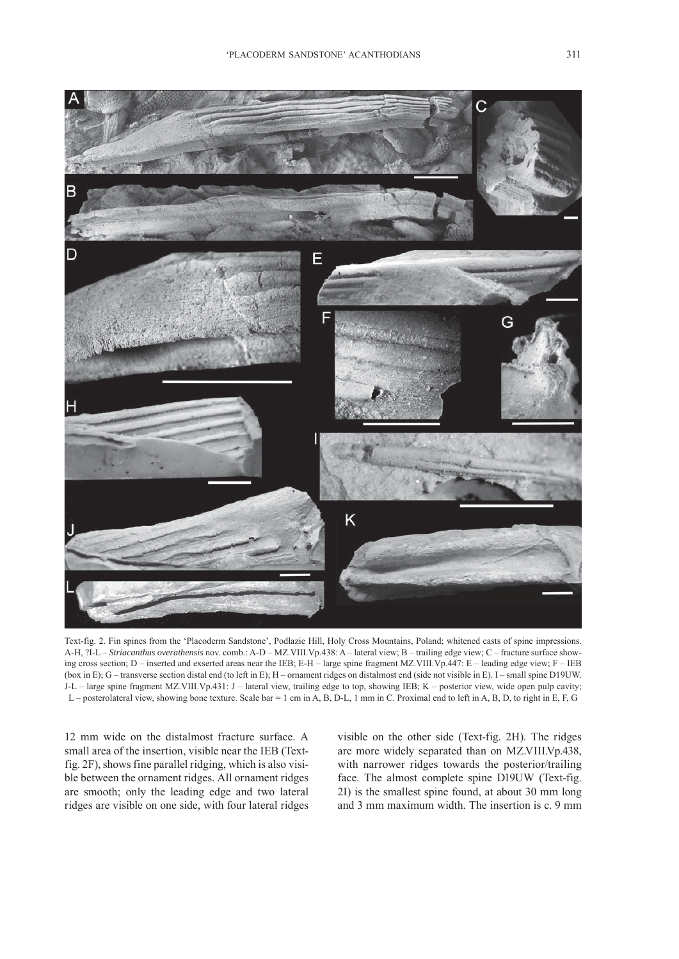

Text-fig. 2. Fin spines from the 'Placoderm Sandstone', Podłazie Hill, Holy Cross Mountains, Poland; whitened casts of spine impressions. A-H, ?I-L – *Striacanthus overathensis* nov. comb.: A-D – MZ.VIII.Vp.438: A – lateral view; B – trailing edge view; C – fracture surface showing cross section; D – inserted and exserted areas near the IEB; E-H – large spine fragment MZ.VIII.Vp.447: E – leading edge view; F – IEB (box in E); G – transverse section distal end (to left in E); H – ornament ridges on distalmost end (side not visible in E). I – small spine D19UW. J-L – large spine fragment MZ.VIII.Vp.431: J – lateral view, trailing edge to top, showing IEB; K – posterior view, wide open pulp cavity; L – posterolateral view, showing bone texture. Scale bar = 1 cm in A, B, D-L, 1 mm in C. Proximal end to left in A, B, D, to right in E, F, G

12 mm wide on the distalmost fracture surface. A small area of the insertion, visible near the IEB (Textfig. 2F), shows fine parallel ridging, which is also visible between the ornament ridges. All ornament ridges are smooth; only the leading edge and two lateral ridges are visible on one side, with four lateral ridges visible on the other side (Text-fig. 2H). The ridges are more widely separated than on MZ.VIII.Vp.438, with narrower ridges towards the posterior/trailing face. The almost complete spine D19UW (Text-fig. 2I) is the smallest spine found, at about 30 mm long and 3 mm maximum width. The insertion is c. 9 mm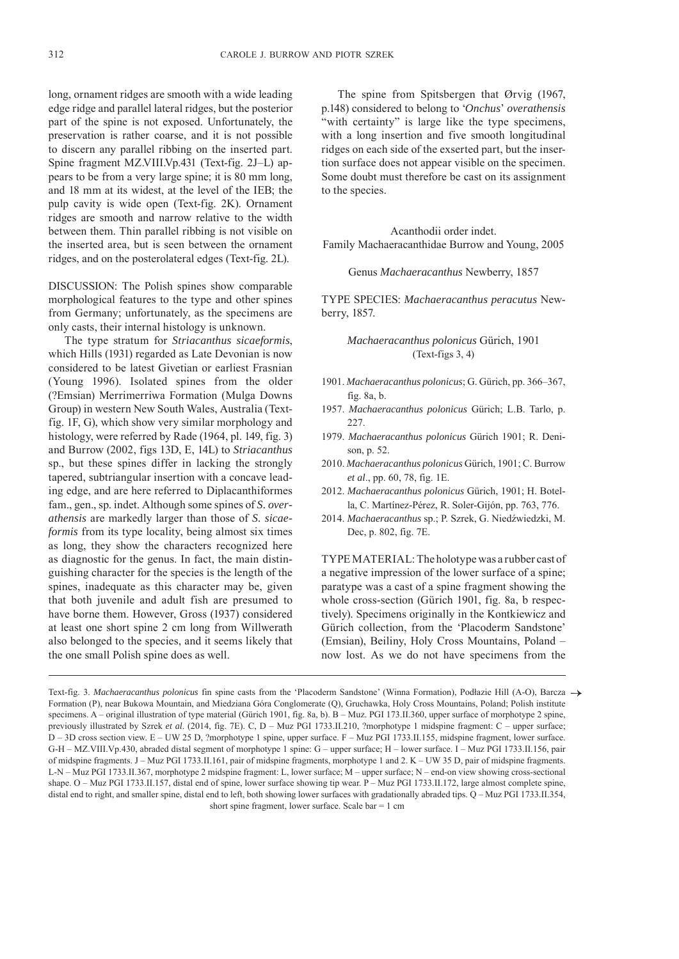long, ornament ridges are smooth with a wide leading edge ridge and parallel lateral ridges, but the posterior part of the spine is not exposed. Unfortunately, the preservation is rather coarse, and it is not possible to discern any parallel ribbing on the inserted part. Spine fragment MZ.VIII.Vp.431 (Text-fig. 2J–L) appears to be from a very large spine; it is 80 mm long, and 18 mm at its widest, at the level of the IEB; the pulp cavity is wide open (Text-fig. 2K). Ornament ridges are smooth and narrow relative to the width between them. Thin parallel ribbing is not visible on the inserted area, but is seen between the ornament ridges, and on the posterolateral edges (Text-fig. 2L).

DISCUSSION: The Polish spines show comparable morphological features to the type and other spines from Germany; unfortunately, as the specimens are only casts, their internal histology is unknown.

The type stratum for *Striacanthus sicaeformis*, which Hills (1931) regarded as Late Devonian is now considered to be latest Givetian or earliest Frasnian (Young 1996). Isolated spines from the older (?Emsian) Merrimerriwa Formation (Mulga Downs Group) in western New South Wales, Australia (Textfig. 1F, G), which show very similar morphology and histology, were referred by Rade (1964, pl. 149, fig. 3) and Burrow (2002, figs 13D, E, 14L) to *Striacanthus* sp., but these spines differ in lacking the strongly tapered, subtriangular insertion with a concave leading edge, and are here referred to Diplacanthiformes fam., gen., sp. indet. Although some spines of *S. overathensis* are markedly larger than those of *S. sicaeformis* from its type locality, being almost six times as long, they show the characters recognized here as diagnostic for the genus. In fact, the main distinguishing character for the species is the length of the spines, inadequate as this character may be, given that both juvenile and adult fish are presumed to have borne them. However, Gross (1937) considered at least one short spine 2 cm long from Willwerath also belonged to the species, and it seems likely that the one small Polish spine does as well.

The spine from Spitsbergen that Ørvig (1967, p.148) considered to belong to '*Onchus*' *overathensis*  "with certainty" is large like the type specimens, with a long insertion and five smooth longitudinal ridges on each side of the exserted part, but the insertion surface does not appear visible on the specimen. Some doubt must therefore be cast on its assignment to the species.

Acanthodii order indet. Family Machaeracanthidae Burrow and Young, 2005

Genus *Machaeracanthus* Newberry, 1857

TYPE SPECIES: *Machaeracanthus peracutus* Newberry, 1857.

> *Machaeracanthus polonicus* Gürich, 1901 (Text-figs 3, 4)

- 1901. *Machaeracanthus polonicus*; G. Gürich, pp. 366–367, fig. 8a, b.
- 1957. *Machaeracanthus polonicus* Gürich; L.B. Tarlo, p. 227.
- 1979. *Machaeracanthus polonicus* Gürich 1901; R. Denison, p. 52.
- 2010. *Machaeracanthus polonicus* Gürich, 1901; C. Burrow *et al*., pp. 60, 78, fig. 1E.
- 2012. *Machaeracanthus polonicus* Gürich, 1901; H. Botella, C. Martínez-Pérez, R. Soler-Gijón, pp. 763, 776.
- 2014. *Machaeracanthus* sp.; P. Szrek, G. Niedźwiedzki, M. Dec, p. 802, fig. 7E.

TYPE MATERIAL: The holotype was a rubber cast of a negative impression of the lower surface of a spine; paratype was a cast of a spine fragment showing the whole cross-section (Gürich 1901, fig. 8a, b respectively). Specimens originally in the Kontkiewicz and Gürich collection, from the 'Placoderm Sandstone' (Emsian), Beiliny, Holy Cross Mountains, Poland – now lost. As we do not have specimens from the

Text-fig. 3. *Machaeracanthus polonicus* fin spine casts from the 'Placoderm Sandstone' (Winna Formation), Podłazie Hill (A-O), Barcza →Formation (P), near Bukowa Mountain, and Miedziana Góra Conglomerate (Q), Gruchawka, Holy Cross Mountains, Poland; Polish institute specimens. A – original illustration of type material (Gürich 1901, fig. 8a, b). B – Muz. PGI 173.II.360, upper surface of morphotype 2 spine, previously illustrated by Szrek *et al*. (2014, fig. 7E). C, D – Muz PGI 1733.II.210, ?morphotype 1 midspine fragment: C – upper surface; D – 3D cross section view. E – UW 25 D, ?morphotype 1 spine, upper surface. F – Muz PGI 1733.II.155, midspine fragment, lower surface. G-H – MZ.VIII.Vp.430, abraded distal segment of morphotype 1 spine: G – upper surface; H – lower surface. I – Muz PGI 1733.II.156, pair of midspine fragments. J – Muz PGI 1733.II.161, pair of midspine fragments, morphotype 1 and 2. K – UW 35 D, pair of midspine fragments. L-N – Muz PGI 1733.II.367, morphotype 2 midspine fragment: L, lower surface; M – upper surface; N – end-on view showing cross-sectional shape. O – Muz PGI 1733.II.157, distal end of spine, lower surface showing tip wear. P – Muz PGI 1733.II.172, large almost complete spine, distal end to right, and smaller spine, distal end to left, both showing lower surfaces with gradationally abraded tips. Q – Muz PGI 1733.II.354, short spine fragment, lower surface. Scale bar  $= 1$  cm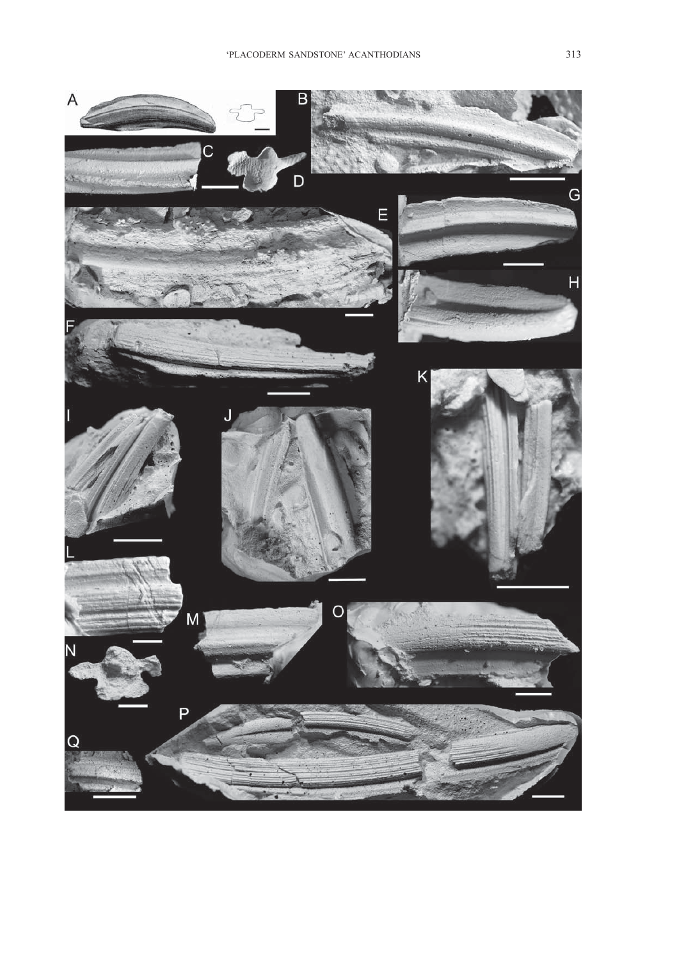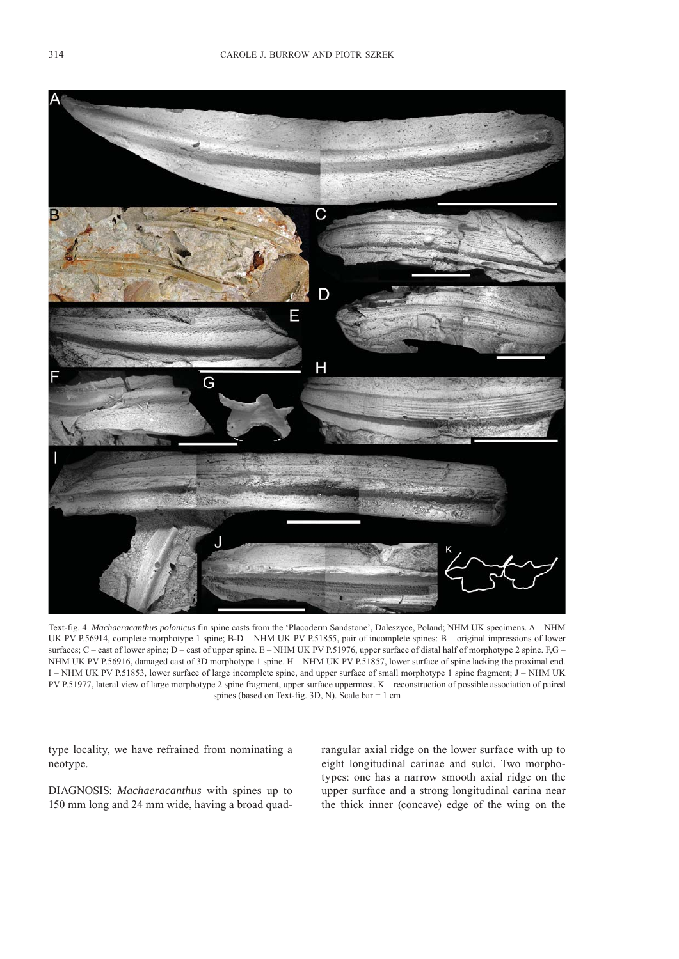

Text-fig. 4. *Machaeracanthus polonicus* fin spine casts from the 'Placoderm Sandstone', Daleszyce, Poland; NHM UK specimens. A – NHM UK PV P.56914, complete morphotype 1 spine; B-D – NHM UK PV P.51855, pair of incomplete spines: B – original impressions of lower surfaces; C – cast of lower spine; D – cast of upper spine. E – NHM UK PV P.51976, upper surface of distal half of morphotype 2 spine. F,G – NHM UK PV P.56916, damaged cast of 3D morphotype 1 spine. H – NHM UK PV P.51857, lower surface of spine lacking the proximal end. I – NHM UK PV P.51853, lower surface of large incomplete spine, and upper surface of small morphotype 1 spine fragment; J – NHM UK PV P.51977, lateral view of large morphotype 2 spine fragment, upper surface uppermost. K – reconstruction of possible association of paired spines (based on Text-fig. 3D, N). Scale bar = 1 cm

type locality, we have refrained from nominating a neotype.

DIAGNOSIS: *Machaeracanthus* with spines up to 150 mm long and 24 mm wide, having a broad quadrangular axial ridge on the lower surface with up to eight longitudinal carinae and sulci. Two morphotypes: one has a narrow smooth axial ridge on the upper surface and a strong longitudinal carina near the thick inner (concave) edge of the wing on the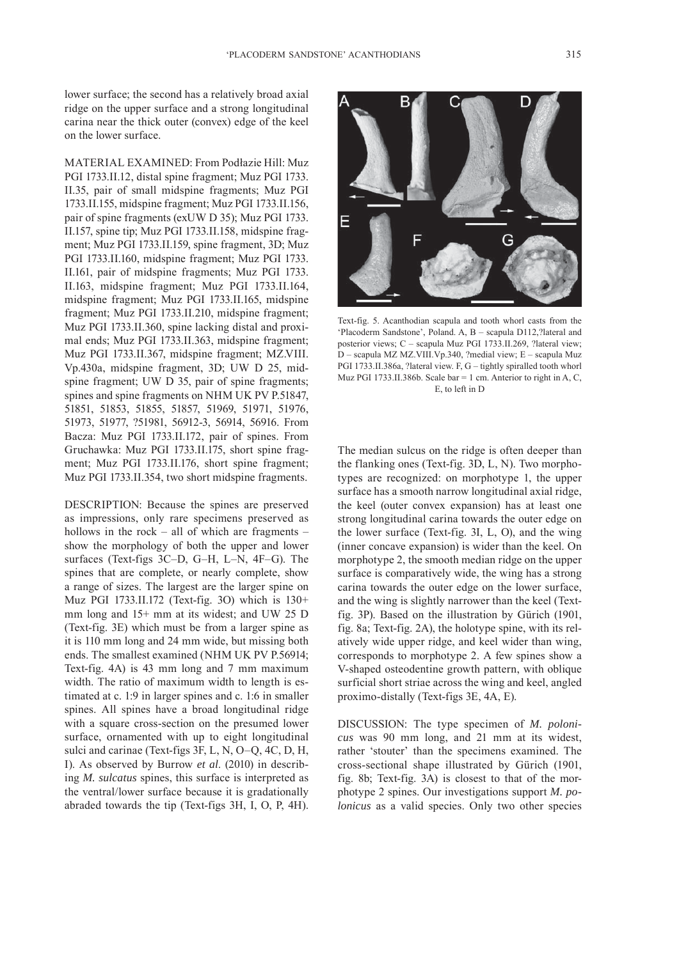lower surface; the second has a relatively broad axial ridge on the upper surface and a strong longitudinal carina near the thick outer (convex) edge of the keel on the lower surface.

MATERIAL EXAMINED: From Podłazie Hill: Muz PGI 1733.II.12, distal spine fragment; Muz PGI 1733. II.35, pair of small midspine fragments; Muz PGI 1733.II.155, midspine fragment; Muz PGI 1733.II.156, pair of spine fragments (exUW D 35); Muz PGI 1733. II.157, spine tip; Muz PGI 1733.II.158, midspine fragment; Muz PGI 1733.II.159, spine fragment, 3D; Muz PGI 1733.II.160, midspine fragment; Muz PGI 1733. II.161, pair of midspine fragments; Muz PGI 1733. II.163, midspine fragment; Muz PGI 1733.II.164, midspine fragment; Muz PGI 1733.II.165, midspine fragment; Muz PGI 1733.II.210, midspine fragment; Muz PGI 1733.II.360, spine lacking distal and proximal ends; Muz PGI 1733.II.363, midspine fragment; Muz PGI 1733.II.367, midspine fragment; MZ.VIII. Vp.430a, midspine fragment, 3D; UW D 25, midspine fragment; UW D 35, pair of spine fragments; spines and spine fragments on NHM UK PV P.51847, 51851, 51853, 51855, 51857, 51969, 51971, 51976, 51973, 51977, ?51981, 56912-3, 56914, 56916. From Bacza: Muz PGI 1733.II.172, pair of spines. From Gruchawka: Muz PGI 1733.II.175, short spine fragment; Muz PGI 1733.II.176, short spine fragment; Muz PGI 1733.II.354, two short midspine fragments.

DESCRIPTION: Because the spines are preserved as impressions, only rare specimens preserved as hollows in the rock – all of which are fragments – show the morphology of both the upper and lower surfaces (Text-figs 3C–D, G–H, L–N, 4F–G). The spines that are complete, or nearly complete, show a range of sizes. The largest are the larger spine on Muz PGI 1733.II.172 (Text-fig. 3O) which is 130+ mm long and 15+ mm at its widest; and UW 25 D (Text-fig. 3E) which must be from a larger spine as it is 110 mm long and 24 mm wide, but missing both ends. The smallest examined (NHM UK PV P.56914; Text-fig. 4A) is 43 mm long and 7 mm maximum width. The ratio of maximum width to length is estimated at c. 1:9 in larger spines and c. 1:6 in smaller spines. All spines have a broad longitudinal ridge with a square cross-section on the presumed lower surface, ornamented with up to eight longitudinal sulci and carinae (Text-figs 3F, L, N, O–Q, 4C, D, H, I). As observed by Burrow *et al*. (2010) in describing *M. sulcatus* spines, this surface is interpreted as the ventral/lower surface because it is gradationally abraded towards the tip (Text-figs 3H, I, O, P, 4H).



Text-fig. 5. Acanthodian scapula and tooth whorl casts from the 'Placoderm Sandstone', Poland. A, B – scapula D112,?lateral and posterior views; C – scapula Muz PGI 1733.II.269, ?lateral view;  $D$  – scapula MZ MZ.VIII.Vp.340, ?medial view; E – scapula Muz PGI 1733.II.386a, ?lateral view. F, G - tightly spiralled tooth whorl Muz PGI 1733.II.386b. Scale bar = 1 cm. Anterior to right in A, C, E, to left in D

The median sulcus on the ridge is often deeper than the flanking ones (Text-fig. 3D, L, N). Two morphotypes are recognized: on morphotype 1, the upper surface has a smooth narrow longitudinal axial ridge, the keel (outer convex expansion) has at least one strong longitudinal carina towards the outer edge on the lower surface (Text-fig. 3I, L, O), and the wing (inner concave expansion) is wider than the keel. On morphotype 2, the smooth median ridge on the upper surface is comparatively wide, the wing has a strong carina towards the outer edge on the lower surface, and the wing is slightly narrower than the keel (Textfig. 3P). Based on the illustration by Gürich (1901, fig. 8a; Text-fig. 2A), the holotype spine, with its relatively wide upper ridge, and keel wider than wing, corresponds to morphotype 2. A few spines show a V-shaped osteodentine growth pattern, with oblique surficial short striae across the wing and keel, angled proximo-distally (Text-figs 3E, 4A, E).

DISCUSSION: The type specimen of *M. polonicus* was 90 mm long, and 21 mm at its widest, rather 'stouter' than the specimens examined. The cross-sectional shape illustrated by Gürich (1901, fig. 8b; Text-fig. 3A) is closest to that of the morphotype 2 spines. Our investigations support *M. polonicus* as a valid species. Only two other species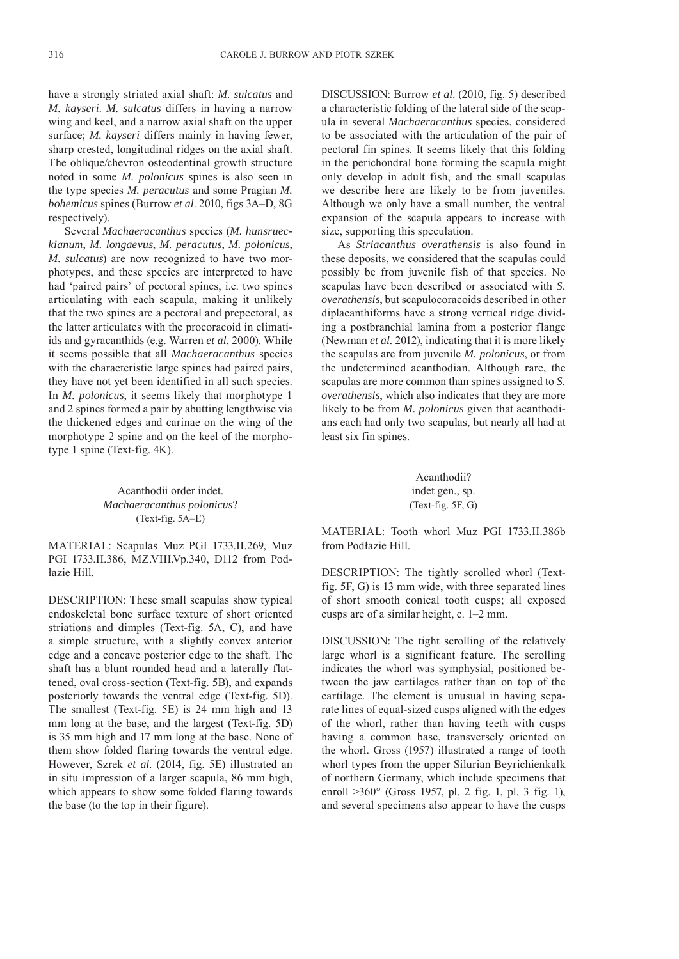have a strongly striated axial shaft: *M. sulcatus* and *M. kayseri*. *M. sulcatus* differs in having a narrow wing and keel, and a narrow axial shaft on the upper surface; *M. kayseri* differs mainly in having fewer, sharp crested, longitudinal ridges on the axial shaft. The oblique/chevron osteodentinal growth structure noted in some *M. polonicus* spines is also seen in the type species *M. peracutus* and some Pragian *M. bohemicus* spines (Burrow *et al*. 2010, figs 3A–D, 8G respectively).

Several *Machaeracanthus* species (*M. hunsrueckianum*, *M. longaevus*, *M. peracutus*, *M. polonicus*, *M. sulcatus*) are now recognized to have two morphotypes, and these species are interpreted to have had 'paired pairs' of pectoral spines, i.e. two spines articulating with each scapula, making it unlikely that the two spines are a pectoral and prepectoral, as the latter articulates with the procoracoid in climatiids and gyracanthids (e.g. Warren *et al*. 2000). While it seems possible that all *Machaeracanthus* species with the characteristic large spines had paired pairs, they have not yet been identified in all such species. In *M. polonicus*, it seems likely that morphotype 1 and 2 spines formed a pair by abutting lengthwise via the thickened edges and carinae on the wing of the morphotype 2 spine and on the keel of the morphotype 1 spine (Text-fig. 4K).

> Acanthodii order indet. *Machaeracanthus polonicus*? (Text-fig. 5A–E)

MATERIAL: Scapulas Muz PGI 1733.II.269, Muz PGI 1733.II.386, MZ.VIII.Vp.340, D112 from Podłazie Hill.

DESCRIPTION: These small scapulas show typical endoskeletal bone surface texture of short oriented striations and dimples (Text-fig. 5A, C), and have a simple structure, with a slightly convex anterior edge and a concave posterior edge to the shaft. The shaft has a blunt rounded head and a laterally flattened, oval cross-section (Text-fig. 5B), and expands posteriorly towards the ventral edge (Text-fig. 5D). The smallest (Text-fig. 5E) is 24 mm high and 13 mm long at the base, and the largest (Text-fig. 5D) is 35 mm high and 17 mm long at the base. None of them show folded flaring towards the ventral edge. However, Szrek *et al*. (2014, fig. 5E) illustrated an in situ impression of a larger scapula, 86 mm high, which appears to show some folded flaring towards the base (to the top in their figure).

DISCUSSION: Burrow *et al*. (2010, fig. 5) described a characteristic folding of the lateral side of the scapula in several *Machaeracanthus* species, considered to be associated with the articulation of the pair of pectoral fin spines. It seems likely that this folding in the perichondral bone forming the scapula might only develop in adult fish, and the small scapulas we describe here are likely to be from juveniles. Although we only have a small number, the ventral expansion of the scapula appears to increase with size, supporting this speculation.

As *Striacanthus overathensis* is also found in these deposits, we considered that the scapulas could possibly be from juvenile fish of that species. No scapulas have been described or associated with *S. overathensis*, but scapulocoracoids described in other diplacanthiforms have a strong vertical ridge dividing a postbranchial lamina from a posterior flange (Newman *et al.* 2012), indicating that it is more likely the scapulas are from juvenile *M. polonicus*, or from the undetermined acanthodian. Although rare, the scapulas are more common than spines assigned to *S. overathensis*, which also indicates that they are more likely to be from *M. polonicus* given that acanthodians each had only two scapulas, but nearly all had at least six fin spines.

> Acanthodii? indet gen., sp. (Text-fig. 5F, G)

MATERIAL: Tooth whorl Muz PGI 1733 II 386b from Podłazie Hill.

DESCRIPTION: The tightly scrolled whorl (Textfig. 5F, G) is 13 mm wide, with three separated lines of short smooth conical tooth cusps; all exposed cusps are of a similar height, c. 1–2 mm.

DISCUSSION: The tight scrolling of the relatively large whorl is a significant feature. The scrolling indicates the whorl was symphysial, positioned between the jaw cartilages rather than on top of the cartilage. The element is unusual in having separate lines of equal-sized cusps aligned with the edges of the whorl, rather than having teeth with cusps having a common base, transversely oriented on the whorl. Gross (1957) illustrated a range of tooth whorl types from the upper Silurian Beyrichienkalk of northern Germany, which include specimens that enroll >360° (Gross 1957, pl. 2 fig. 1, pl. 3 fig. 1), and several specimens also appear to have the cusps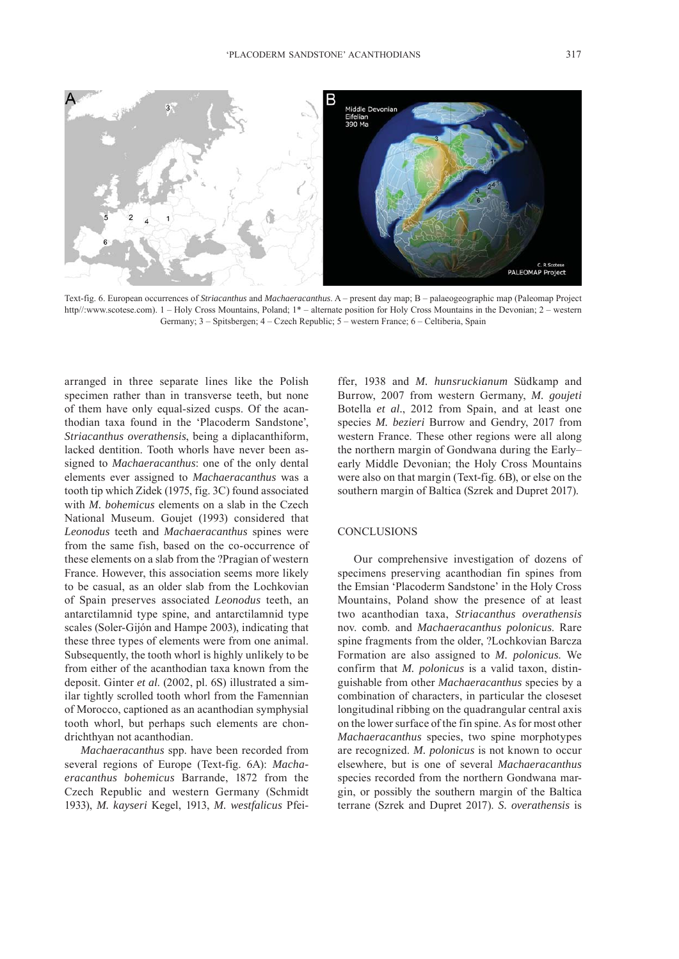

Text-fig. 6. European occurrences of *Striacanthus* and *Machaeracanthus*. A – present day map; B – palaeogeographic map (Paleomap Project http//:www.scotese.com). 1 – Holy Cross Mountains, Poland; 1\* – alternate position for Holy Cross Mountains in the Devonian; 2 – western Germany; 3 – Spitsbergen; 4 – Czech Republic; 5 – western France; 6 – Celtiberia, Spain

arranged in three separate lines like the Polish specimen rather than in transverse teeth, but none of them have only equal-sized cusps. Of the acanthodian taxa found in the 'Placoderm Sandstone', *Striacanthus overathensis*, being a diplacanthiform, lacked dentition. Tooth whorls have never been assigned to *Machaeracanthus*: one of the only dental elements ever assigned to *Machaeracanthus* was a tooth tip which Zidek (1975, fig. 3C) found associated with *M. bohemicus* elements on a slab in the Czech National Museum. Goujet (1993) considered that *Leonodus* teeth and *Machaeracanthus* spines were from the same fish, based on the co-occurrence of these elements on a slab from the ?Pragian of western France. However, this association seems more likely to be casual, as an older slab from the Lochkovian of Spain preserves associated *Leonodus* teeth, an antarctilamnid type spine, and antarctilamnid type scales (Soler-Gijón and Hampe 2003), indicating that these three types of elements were from one animal. Subsequently, the tooth whorl is highly unlikely to be from either of the acanthodian taxa known from the deposit. Ginter *et al*. (2002, pl. 6S) illustrated a similar tightly scrolled tooth whorl from the Famennian of Morocco, captioned as an acanthodian symphysial tooth whorl, but perhaps such elements are chondrichthyan not acanthodian.

*Machaeracanthus* spp. have been recorded from several regions of Europe (Text-fig. 6A): *Machaeracanthus bohemicus* Barrande, 1872 from the Czech Republic and western Germany (Schmidt 1933), *M. kayseri* Kegel, 1913, *M. westfalicus* Pfeiffer, 1938 and *M. hunsruckianum* Südkamp and Burrow, 2007 from western Germany, *M. goujeti* Botella *et al.*, 2012 from Spain, and at least one species *M. bezieri* Burrow and Gendry, 2017 from western France. These other regions were all along the northern margin of Gondwana during the Early– early Middle Devonian; the Holy Cross Mountains were also on that margin (Text-fig. 6B), or else on the southern margin of Baltica (Szrek and Dupret 2017).

# **CONCLUSIONS**

Our comprehensive investigation of dozens of specimens preserving acanthodian fin spines from the Emsian 'Placoderm Sandstone' in the Holy Cross Mountains, Poland show the presence of at least two acanthodian taxa, *Striacanthus overathensis* nov. comb. and *Machaeracanthus polonicus*. Rare spine fragments from the older, ?Lochkovian Barcza Formation are also assigned to *M. polonicus*. We confirm that *M. polonicus* is a valid taxon, distinguishable from other *Machaeracanthus* species by a combination of characters, in particular the closeset longitudinal ribbing on the quadrangular central axis on the lower surface of the fin spine. As for most other *Machaeracanthus* species, two spine morphotypes are recognized. *M. polonicus* is not known to occur elsewhere, but is one of several *Machaeracanthus*  species recorded from the northern Gondwana margin, or possibly the southern margin of the Baltica terrane (Szrek and Dupret 2017). *S. overathensis* is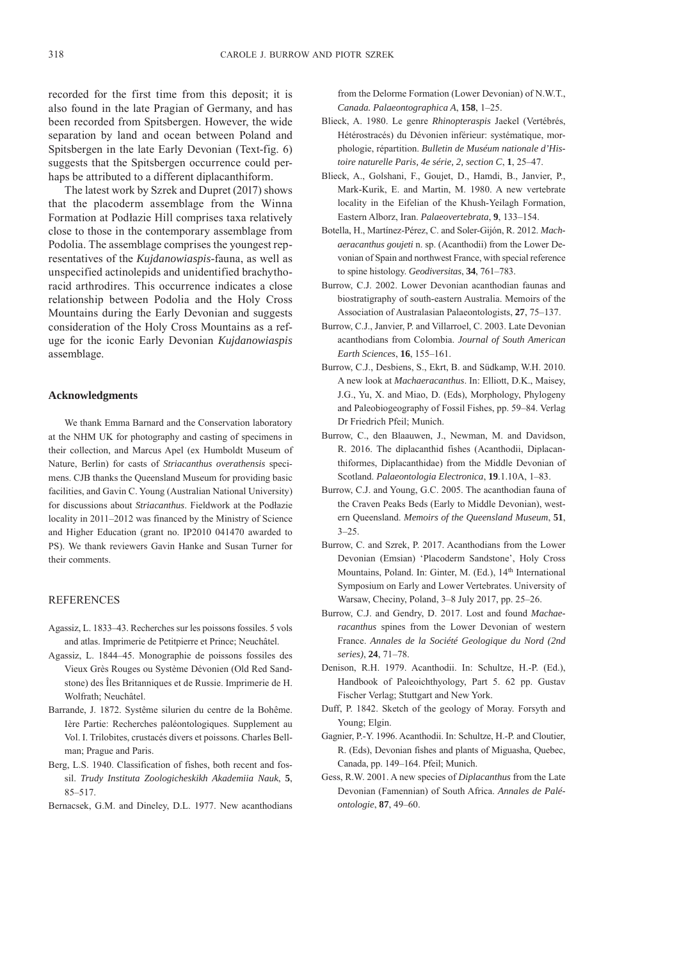recorded for the first time from this deposit; it is also found in the late Pragian of Germany, and has been recorded from Spitsbergen. However, the wide separation by land and ocean between Poland and Spitsbergen in the late Early Devonian (Text-fig. 6) suggests that the Spitsbergen occurrence could perhaps be attributed to a different diplacanthiform.

The latest work by Szrek and Dupret (2017) shows that the placoderm assemblage from the Winna Formation at Podłazie Hill comprises taxa relatively close to those in the contemporary assemblage from Podolia. The assemblage comprises the youngest representatives of the *Kujdanowiaspis*-fauna, as well as unspecified actinolepids and unidentified brachythoracid arthrodires. This occurrence indicates a close relationship between Podolia and the Holy Cross Mountains during the Early Devonian and suggests consideration of the Holy Cross Mountains as a refuge for the iconic Early Devonian *Kujdanowiaspis* assemblage.

# **Acknowledgments**

We thank Emma Barnard and the Conservation laboratory at the NHM UK for photography and casting of specimens in their collection, and Marcus Apel (ex Humboldt Museum of Nature, Berlin) for casts of *Striacanthus overathensis* specimens. CJB thanks the Queensland Museum for providing basic facilities, and Gavin C. Young (Australian National University) for discussions about *Striacanthus*. Fieldwork at the Podłazie locality in 2011–2012 was financed by the Ministry of Science and Higher Education (grant no. IP2010 041470 awarded to PS). We thank reviewers Gavin Hanke and Susan Turner for their comments.

#### REFERENCES

- Agassiz, L. 1833–43. Recherches sur les poissons fossiles. 5 vols and atlas. Imprimerie de Petitpierre et Prince; Neuchâtel.
- Agassiz, L. 1844–45. Monographie de poissons fossiles des Vieux Grès Rouges ou Système Dévonien (Old Red Sandstone) des Îles Britanniques et de Russie. Imprimerie de H. Wolfrath; Neuchâtel.
- Barrande, J. 1872. Systême silurien du centre de la Bohême. Ière Partie: Recherches paléontologiques. Supplement au Vol. I. Trilobites, crustacés divers et poissons. Charles Bellman; Prague and Paris.
- Berg, L.S. 1940. Classification of fishes, both recent and fossil. *Trudy Instituta Zoologicheskikh Akademiia Nauk*, **5**, 85–517.
- Bernacsek, G.M. and Dineley, D.L. 1977. New acanthodians

from the Delorme Formation (Lower Devonian) of N.W.T., *Canada. Palaeontographica A*, **158**, 1–25.

- Blieck, A. 1980. Le genre *Rhinopteraspis* Jaekel (Vertébrés, Hétérostracés) du Dévonien inférieur: systématique, morphologie, répartition. *Bulletin de Muséum nationale d'Histoire naturelle Paris, 4e série, 2, section C*, **1**, 25–47.
- Blieck, A., Golshani, F., Goujet, D., Hamdi, B., Janvier, P., Mark-Kurik, E. and Martin, M. 1980. A new vertebrate locality in the Eifelian of the Khush-Yeilagh Formation, Eastern Alborz, Iran. *Palaeovertebrata*, **9**, 133–154.
- Botella, H., Martínez-Pérez, C. and Soler-Gijón, R. 2012. *Machaeracanthus goujeti* n. sp. (Acanthodii) from the Lower Devonian of Spain and northwest France, with special reference to spine histology. *Geodiversitas*, **34**, 761–783.
- Burrow, C.J. 2002. Lower Devonian acanthodian faunas and biostratigraphy of south-eastern Australia. Memoirs of the Association of Australasian Palaeontologists, **27**, 75–137.
- Burrow, C.J., Janvier, P. and Villarroel, C. 2003. Late Devonian acanthodians from Colombia. *Journal of South American Earth Sciences*, **16**, 155–161.
- Burrow, C.J., Desbiens, S., Ekrt, B. and Südkamp, W.H. 2010. A new look at *Machaeracanthus*. In: Elliott, D.K., Maisey, J.G., Yu, X. and Miao, D. (Eds), Morphology, Phylogeny and Paleobiogeography of Fossil Fishes, pp. 59–84. Verlag Dr Friedrich Pfeil; Munich.
- Burrow, C., den Blaauwen, J., Newman, M. and Davidson, R. 2016. The diplacanthid fishes (Acanthodii, Diplacanthiformes, Diplacanthidae) from the Middle Devonian of Scotland. *Palaeontologia Electronica*, **19**.1.10A, 1–83.
- Burrow, C.J. and Young, G.C. 2005. The acanthodian fauna of the Craven Peaks Beds (Early to Middle Devonian), western Queensland. *Memoirs of the Queensland Museum*, **51**, 3–25.
- Burrow, C. and Szrek, P. 2017. Acanthodians from the Lower Devonian (Emsian) 'Placoderm Sandstone', Holy Cross Mountains, Poland. In: Ginter, M. (Ed.), 14<sup>th</sup> International Symposium on Early and Lower Vertebrates. University of Warsaw, Checiny, Poland, 3–8 July 2017, pp. 25–26.
- Burrow, C.J. and Gendry, D. 2017. Lost and found *Machaeracanthus* spines from the Lower Devonian of western France. *Annales de la Société Geologique du Nord (2nd series)*, **24**, 71–78.
- Denison, R.H. 1979. Acanthodii. In: Schultze, H.-P. (Ed.), Handbook of Paleoichthyology, Part 5. 62 pp. Gustav Fischer Verlag; Stuttgart and New York.
- Duff, P. 1842. Sketch of the geology of Moray. Forsyth and Young; Elgin.
- Gagnier, P.-Y. 1996. Acanthodii. In: Schultze, H.-P. and Cloutier, R. (Eds), Devonian fishes and plants of Miguasha, Quebec, Canada, pp. 149–164. Pfeil; Munich.
- Gess, R.W. 2001. A new species of *Diplacanthus* from the Late Devonian (Famennian) of South Africa. *Annales de Paléontologie*, **87**, 49–60.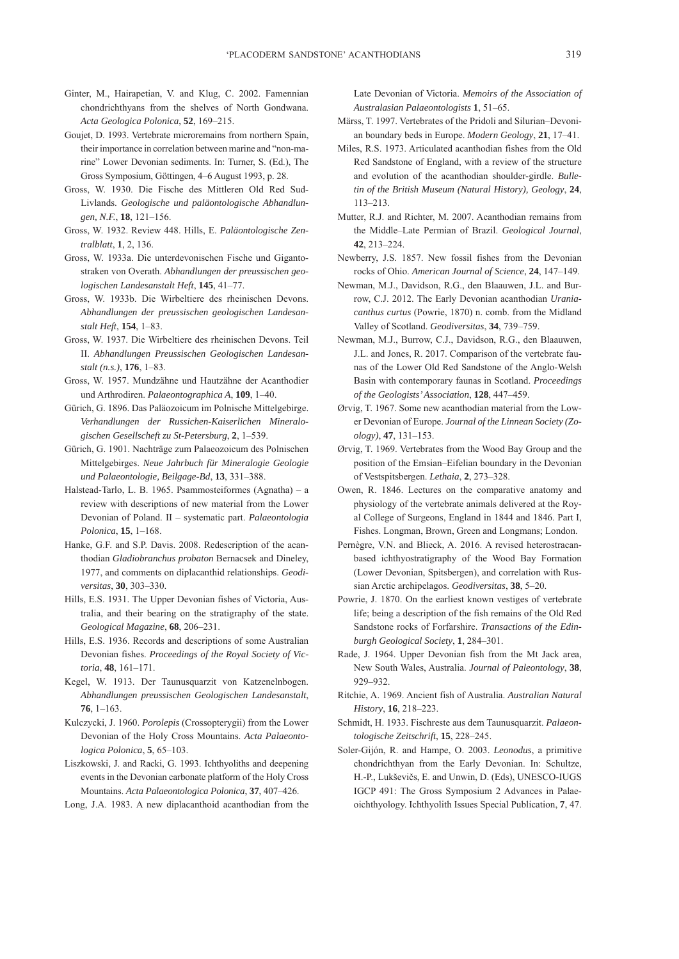- Ginter, M., Hairapetian, V. and Klug, C. 2002. Famennian chondrichthyans from the shelves of North Gondwana. *Acta Geologica Polonica*, **52**, 169–215.
- Goujet, D. 1993. Vertebrate microremains from northern Spain, their importance in correlation between marine and "non-marine" Lower Devonian sediments. In: Turner, S. (Ed.), The Gross Symposium, Göttingen, 4–6 August 1993, p. 28.
- Gross, W. 1930. Die Fische des Mittleren Old Red Sud-Livlands. *Geologische und palä ontologische Abhandlungen, N.F.*, **18**, 121–156.
- Gross, W. 1932. Review 448. Hills, E. Paläontologische Zen*tralblatt*, **1**, 2, 136.
- Gross, W. 1933a. Die unterdevonischen Fische und Gigantostraken von Overath. *Abhandlungen der preussischen geologischen Landesanstalt Heft*, **145**, 41–77.
- Gross, W. 1933b. Die Wirbeltiere des rheinischen Devons. *Abhandlungen der preussischen geologischen Landesanstalt Heft*, **154**, 1–83.
- Gross, W. 1937. Die Wirbeltiere des rheinischen Devons. Teil II. *Abhandlungen Preussischen Geologischen Landesanstalt (n.s.)*, **176**, 1–83.
- Gross, W. 1957. Mundzähne und Hautzähne der Acanthodier und Arthrodiren. *Palaeontographica A*, **109**, 1–40.
- Gürich, G. 1896. Das Paläozoicum im Polnische Mittelgebirge. *Verhandlungen der Russichen-Kaiserlichen Mineralogischen Gesellscheft zu St-Petersburg*, **2**, 1–539.
- Gürich, G. 1901. Nachträge zum Palaeozoicum des Polnischen Mittelgebirges. *Neue Jahrbuch für Mineralogie Geologie und Palaeontologie, Beilgage-Bd*, **13**, 331–388.
- Halstead-Tarlo, L. B. 1965. Psammosteiformes (Agnatha) a review with descriptions of new material from the Lower Devonian of Poland. II – systematic part. *Palaeontologia Polonica*, **15**, 1–168.
- Hanke, G.F. and S.P. Davis. 2008. Redescription of the acanthodian *Gladiobranchus probaton* Bernacsek and Dineley, 1977, and comments on diplacanthid relationships. *Geodiversitas*, **30**, 303–330.
- Hills, E.S. 1931. The Upper Devonian fishes of Victoria, Australia, and their bearing on the stratigraphy of the state. *Geological Magazine*, **68**, 206–231.
- Hills, E.S. 1936. Records and descriptions of some Australian Devonian fishes. *Proceedings of the Royal Society of Victoria*, **48**, 161–171.
- Kegel, W. 1913. Der Taunusquarzit von Katzenelnbogen. *Abhandlungen preussischen Geologischen Landesanstalt*, **76**, 1–163.
- Kulczycki, J. 1960. *Porolepis* (Crossopterygii) from the Lower Devonian of the Holy Cross Mountains. *Acta Palaeontologica Polonica*, **5**, 65–103.
- Liszkowski, J. and Racki, G. 1993. Ichthyoliths and deepening events in the Devonian carbonate platform of the Holy Cross Mountains. *Acta Palaeontologica Polonica*, **37**, 407–426.
- Long, J.A. 1983. A new diplacanthoid acanthodian from the

Late Devonian of Victoria. *Memoirs of the Association of Australasian Palaeontologists* **1**, 51–65.

- Märss, T. 1997. Vertebrates of the Pridoli and Silurian–Devonian boundary beds in Europe. *Modern Geology*, **21**, 17–41.
- Miles, R.S. 1973. Articulated acanthodian fishes from the Old Red Sandstone of England, with a review of the structure and evolution of the acanthodian shoulder-girdle. *Bulletin of the British Museum (Natural History), Geology*, **24**, 113–213.
- Mutter, R.J. and Richter, M. 2007. Acanthodian remains from the Middle–Late Permian of Brazil. *Geological Journal*, **42**, 213–224.
- Newberry, J.S. 1857. New fossil fishes from the Devonian rocks of Ohio. *American Journal of Science*, **24**, 147–149.
- Newman, M.J., Davidson, R.G., den Blaauwen, J.L. and Burrow, C.J. 2012. The Early Devonian acanthodian *Uraniacanthus curtus* (Powrie, 1870) n. comb. from the Midland Valley of Scotland. *Geodiversitas*, **34**, 739–759.
- Newman, M.J., Burrow, C.J., Davidson, R.G., den Blaauwen, J.L. and Jones, R. 2017. Comparison of the vertebrate faunas of the Lower Old Red Sandstone of the Anglo-Welsh Basin with contemporary faunas in Scotland. *Proceedings of the Geologists' Association*, **128**, 447–459.
- Ørvig, T. 1967. Some new acanthodian material from the Lower Devonian of Europe. *Journal of the Linnean Society (Zoology)*, **47**, 131–153.
- Ørvig, T. 1969. Vertebrates from the Wood Bay Group and the position of the Emsian–Eifelian boundary in the Devonian of Vestspitsbergen. *Lethaia*, **2**, 273–328.
- Owen, R. 1846. Lectures on the comparative anatomy and physiology of the vertebrate animals delivered at the Royal College of Surgeons, England in 1844 and 1846. Part I, Fishes. Longman, Brown, Green and Longmans; London.
- Pernègre, V.N. and Blieck, A. 2016. A revised heterostracanbased ichthyostratigraphy of the Wood Bay Formation (Lower Devonian, Spitsbergen), and correlation with Russian Arctic archipelagos. *Geodiversitas*, **38**, 5–20.
- Powrie, J. 1870. On the earliest known vestiges of vertebrate life; being a description of the fish remains of the Old Red Sandstone rocks of Forfarshire. *Transactions of the Edinburgh Geological Society*, **1**, 284–301.
- Rade, J. 1964. Upper Devonian fish from the Mt Jack area, New South Wales, Australia. *Journal of Paleontology*, **38**, 929–932.
- Ritchie, A. 1969. Ancient fish of Australia. *Australian Natural History*, **16**, 218–223.
- Schmidt, H. 1933. Fischreste aus dem Taunusquarzit. *Palaeontologische Zeitschrift*, **15**, 228–245.
- Soler-Gijón, R. and Hampe, O. 2003. *Leonodus*, a primitive chondrichthyan from the Early Devonian. In: Schultze, H.-P., Lukševičs, E. and Unwin, D. (Eds), UNESCO-IUGS IGCP 491: The Gross Symposium 2 Advances in Palaeoichthyology. Ichthyolith Issues Special Publication, **7**, 47.